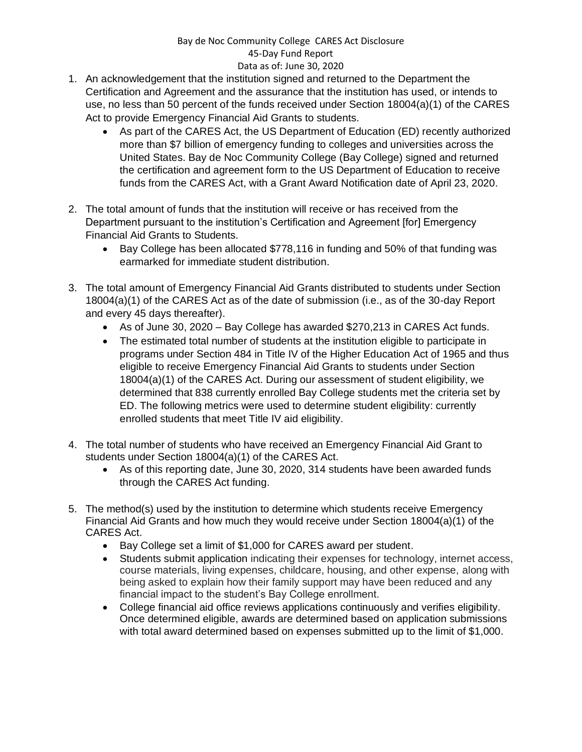## Bay de Noc Community College CARES Act Disclosure 45-Day Fund Report Data as of: June 30, 2020

- 1. An acknowledgement that the institution signed and returned to the Department the Certification and Agreement and the assurance that the institution has used, or intends to use, no less than 50 percent of the funds received under Section 18004(a)(1) of the CARES Act to provide Emergency Financial Aid Grants to students.
	- As part of the CARES Act, the US Department of Education (ED) recently authorized more than \$7 billion of emergency funding to colleges and universities across the United States. Bay de Noc Community College (Bay College) signed and returned the certification and agreement form to the US Department of Education to receive funds from the CARES Act, with a Grant Award Notification date of April 23, 2020.
- 2. The total amount of funds that the institution will receive or has received from the Department pursuant to the institution's Certification and Agreement [for] Emergency Financial Aid Grants to Students.
	- Bay College has been allocated \$778,116 in funding and 50% of that funding was earmarked for immediate student distribution.
- 3. The total amount of Emergency Financial Aid Grants distributed to students under Section 18004(a)(1) of the CARES Act as of the date of submission (i.e., as of the 30-day Report and every 45 days thereafter).
	- As of June 30, 2020 Bay College has awarded \$270,213 in CARES Act funds.
	- The estimated total number of students at the institution eligible to participate in programs under Section 484 in Title IV of the Higher Education Act of 1965 and thus eligible to receive Emergency Financial Aid Grants to students under Section 18004(a)(1) of the CARES Act. During our assessment of student eligibility, we determined that 838 currently enrolled Bay College students met the criteria set by ED. The following metrics were used to determine student eligibility: currently enrolled students that meet Title IV aid eligibility.
- 4. The total number of students who have received an Emergency Financial Aid Grant to students under Section 18004(a)(1) of the CARES Act.
	- As of this reporting date, June 30, 2020, 314 students have been awarded funds through the CARES Act funding.
- 5. The method(s) used by the institution to determine which students receive Emergency Financial Aid Grants and how much they would receive under Section 18004(a)(1) of the CARES Act.
	- Bay College set a limit of \$1,000 for CARES award per student.
	- Students submit application indicating their expenses for technology, internet access, course materials, living expenses, childcare, housing, and other expense, along with being asked to explain how their family support may have been reduced and any financial impact to the student's Bay College enrollment.
	- College financial aid office reviews applications continuously and verifies eligibility. Once determined eligible, awards are determined based on application submissions with total award determined based on expenses submitted up to the limit of \$1,000.